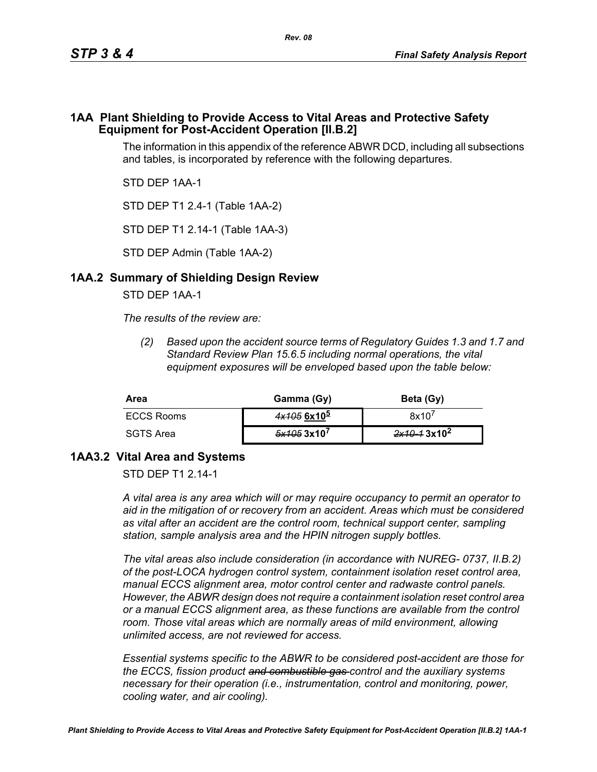### **1AA Plant Shielding to Provide Access to Vital Areas and Protective Safety Equipment for Post-Accident Operation [II.B.2]**

The information in this appendix of the reference ABWR DCD, including all subsections and tables, is incorporated by reference with the following departures.

STD DEP 1AA-1

STD DEP T1 2.4-1 (Table 1AA-2)

STD DEP T1 2.14-1 (Table 1AA-3)

STD DEP Admin (Table 1AA-2)

## **1AA.2 Summary of Shielding Design Review**

STD DEP 1AA-1

*The results of the review are:*

*(2) Based upon the accident source terms of Regulatory Guides 1.3 and 1.7 and Standard Review Plan 15.6.5 including normal operations, the vital equipment exposures will be enveloped based upon the table below:*

| Area       | Gamma (Gy)    | Beta (Gy)               |
|------------|---------------|-------------------------|
| ECCS Rooms | $4x1056x10^5$ | 8x10'                   |
| SGTS Area  | 5x1053x10'    | 2x10-13x10 <sup>2</sup> |

# **1AA3.2 Vital Area and Systems**

STD DFP T1 2 14-1

*A vital area is any area which will or may require occupancy to permit an operator to aid in the mitigation of or recovery from an accident. Areas which must be considered as vital after an accident are the control room, technical support center, sampling station, sample analysis area and the HPIN nitrogen supply bottles.* 

*The vital areas also include consideration (in accordance with NUREG- 0737, II.B.2) of the post-LOCA hydrogen control system, containment isolation reset control area, manual ECCS alignment area, motor control center and radwaste control panels. However, the ABWR design does not require a containment isolation reset control area or a manual ECCS alignment area, as these functions are available from the control*  room. Those vital areas which are normally areas of mild environment, allowing *unlimited access, are not reviewed for access.* 

*Essential systems specific to the ABWR to be considered post-accident are those for the ECCS, fission product and combustible gas control and the auxiliary systems necessary for their operation (i.e., instrumentation, control and monitoring, power, cooling water, and air cooling).*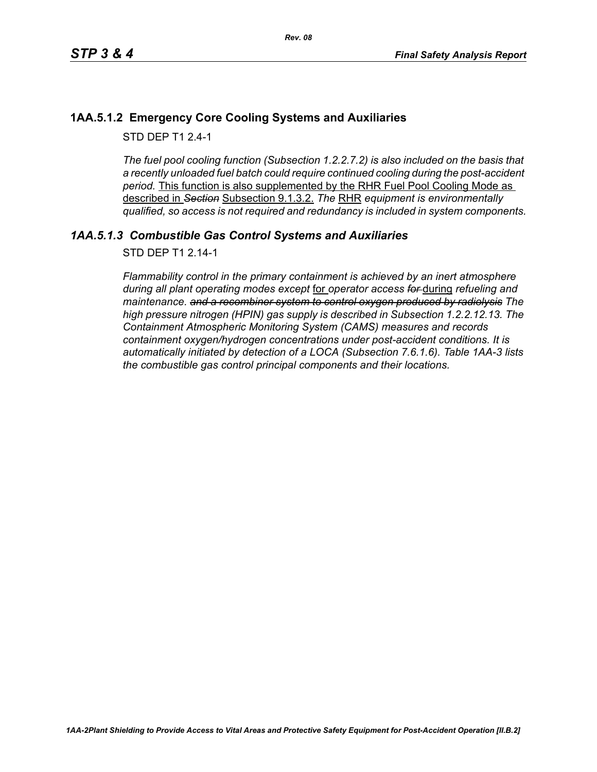## **1AA.5.1.2 Emergency Core Cooling Systems and Auxiliaries**

STD DFP T1 2 4-1

*The fuel pool cooling function (Subsection 1.2.2.7.2) is also included on the basis that a recently unloaded fuel batch could require continued cooling during the post-accident period.* This function is also supplemented by the RHR Fuel Pool Cooling Mode as described in *Section* Subsection 9.1.3.2. *The* RHR *equipment is environmentally qualified, so access is not required and redundancy is included in system components.*

## *1AA.5.1.3 Combustible Gas Control Systems and Auxiliaries*

STD DEP T1 2.14-1

*Flammability control in the primary containment is achieved by an inert atmosphere during all plant operating modes except* for *operator access for* during *refueling and maintenance. and a recombiner system to control oxygen produced by radiolysis The high pressure nitrogen (HPIN) gas supply is described in Subsection 1.2.2.12.13. The Containment Atmospheric Monitoring System (CAMS) measures and records containment oxygen/hydrogen concentrations under post-accident conditions. It is automatically initiated by detection of a LOCA (Subsection 7.6.1.6). Table 1AA-3 lists the combustible gas control principal components and their locations.*